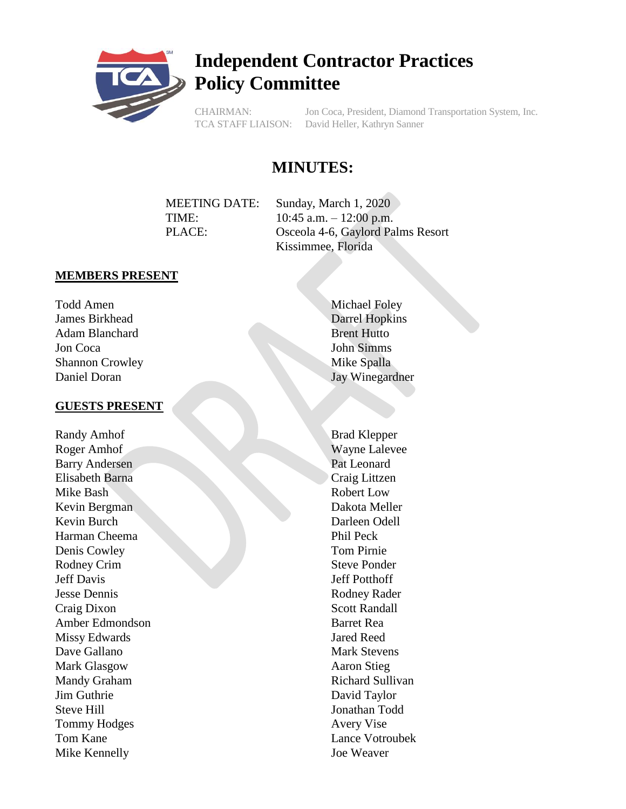

# **Independent Contractor Practices Policy Committee**

CHAIRMAN: Jon Coca, President, Diamond Transportation System, Inc. TCA STAFF LIAISON: David Heller, Kathryn Sanner

# **MINUTES:**

MEETING DATE: Sunday, March 1, 2020 TIME: 10:45 a.m. – 12:00 p.m. PLACE: Osceola 4-6, Gaylord Palms Resort Kissimmee, Florida

#### **MEMBERS PRESENT**

Todd Amen James Birkhead Adam Blanchard Jon Coca Shannon Crowley Daniel Doran

#### **GUESTS PRESENT**

Randy Amhof Roger Amhof Barry Andersen Elisabeth Barna Mike Bash Kevin Bergman Kevin Burch Harman Cheema Denis Cowley Rodney Crim Jeff Davis Jesse Dennis Craig Dixon Amber Edmondson Missy Edwards Dave Gallano Mark Glasgow Mandy Graham Jim Guthrie Steve Hill Tommy Hodges Tom Kane Mike Kennelly

Michael Foley Darrel Hopkins Brent Hutto John Simms Mike Spalla Jay Winegardner

Brad Klepper Wayne Lalevee Pat Leonard Craig Littzen Robert Low Dakota Meller Darleen Odell Phil Peck Tom Pirnie Steve Ponder Jeff Potthoff Rodney Rader Scott Randall Barret Rea Jared Reed Mark Stevens Aaron Stieg Richard Sullivan David Taylor Jonathan Todd Avery Vise Lance Votroubek Joe Weaver